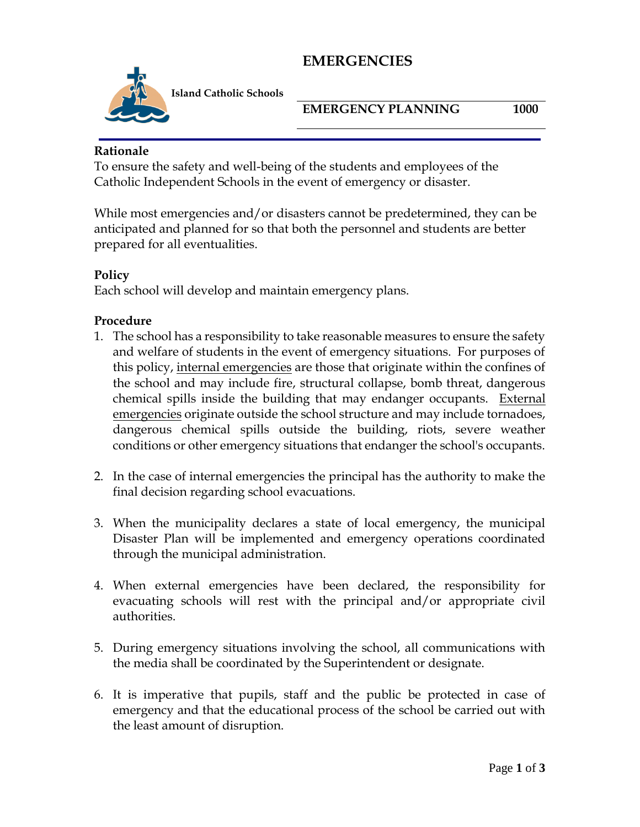## **EMERGENCIES**



 **I Island Catholic Schools**

**EMERGENCY PLANNING** 1000

#### **Rationale**

To ensure the safety and well-being of the students and employees of the Catholic Independent Schools in the event of emergency or disaster.

While most emergencies and/or disasters cannot be predetermined, they can be anticipated and planned for so that both the personnel and students are better prepared for all eventualities.

### **Policy**

Each school will develop and maintain emergency plans.

#### **Procedure**

- 1. The school has a responsibility to take reasonable measures to ensure the safety and welfare of students in the event of emergency situations. For purposes of this policy, internal emergencies are those that originate within the confines of the school and may include fire, structural collapse, bomb threat, dangerous chemical spills inside the building that may endanger occupants. External emergencies originate outside the school structure and may include tornadoes, dangerous chemical spills outside the building, riots, severe weather conditions or other emergency situations that endanger the school's occupants.
- 2. In the case of internal emergencies the principal has the authority to make the final decision regarding school evacuations.
- 3. When the municipality declares a state of local emergency, the municipal Disaster Plan will be implemented and emergency operations coordinated through the municipal administration.
- 4. When external emergencies have been declared, the responsibility for evacuating schools will rest with the principal and/or appropriate civil authorities.
- 5. During emergency situations involving the school, all communications with the media shall be coordinated by the Superintendent or designate.
- 6. It is imperative that pupils, staff and the public be protected in case of emergency and that the educational process of the school be carried out with the least amount of disruption.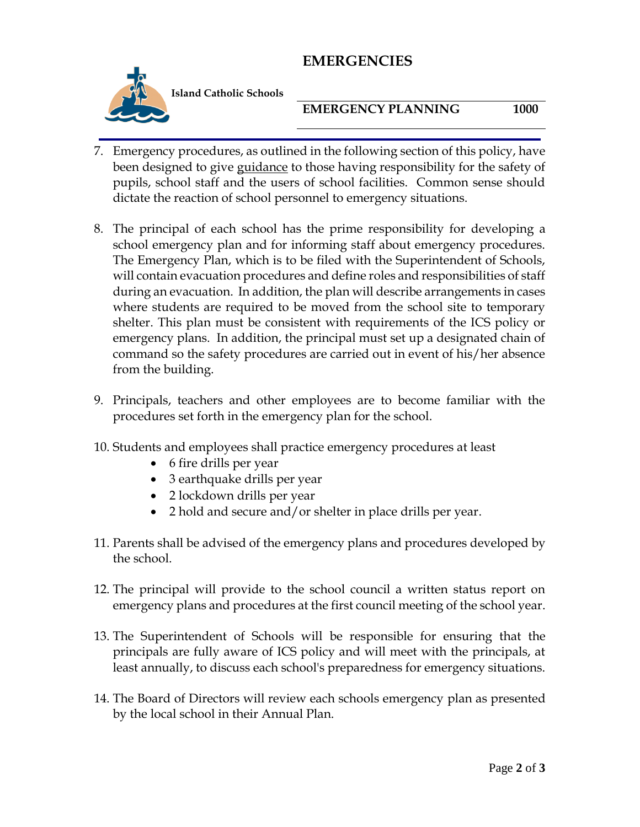### **EMERGENCIES**



 **I Island Catholic Schools**

#### **EMERGENCY PLANNING** 1000

- 7. Emergency procedures, as outlined in the following section of this policy, have been designed to give guidance to those having responsibility for the safety of pupils, school staff and the users of school facilities. Common sense should dictate the reaction of school personnel to emergency situations.
- 8. The principal of each school has the prime responsibility for developing a school emergency plan and for informing staff about emergency procedures. The Emergency Plan, which is to be filed with the Superintendent of Schools, will contain evacuation procedures and define roles and responsibilities of staff during an evacuation. In addition, the plan will describe arrangements in cases where students are required to be moved from the school site to temporary shelter. This plan must be consistent with requirements of the ICS policy or emergency plans. In addition, the principal must set up a designated chain of command so the safety procedures are carried out in event of his/her absence from the building.
- 9. Principals, teachers and other employees are to become familiar with the procedures set forth in the emergency plan for the school.
- 10. Students and employees shall practice emergency procedures at least
	- 6 fire drills per year
	- 3 earthquake drills per year
	- 2 lockdown drills per year
	- 2 hold and secure and/or shelter in place drills per year.
- 11. Parents shall be advised of the emergency plans and procedures developed by the school.
- 12. The principal will provide to the school council a written status report on emergency plans and procedures at the first council meeting of the school year.
- 13. The Superintendent of Schools will be responsible for ensuring that the principals are fully aware of ICS policy and will meet with the principals, at least annually, to discuss each school's preparedness for emergency situations.
- 14. The Board of Directors will review each schools emergency plan as presented by the local school in their Annual Plan.